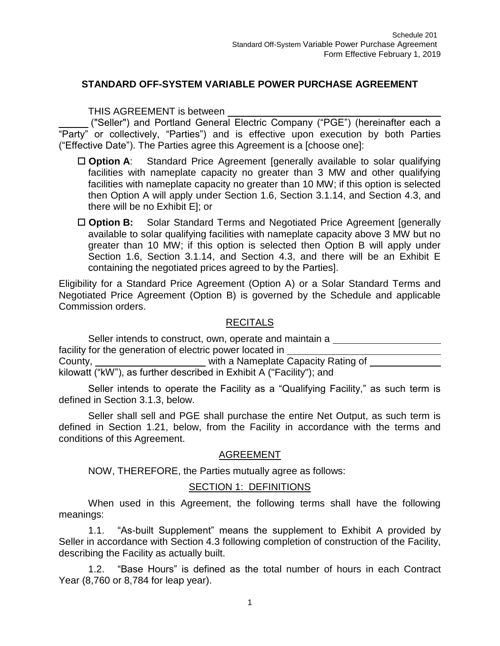# **STANDARD OFF-SYSTEM VARIABLE POWER PURCHASE AGREEMENT**

#### THIS AGREEMENT is between

("Seller") and Portland General Electric Company ("PGE") (hereinafter each a "Party" or collectively, "Parties") and is effective upon execution by both Parties ("Effective Date"). The Parties agree this Agreement is a [choose one]:

- □ **Option A**: Standard Price Agreement [generally available to solar qualifying facilities with nameplate capacity no greater than 3 MW and other qualifying facilities with nameplate capacity no greater than 10 MW; if this option is selected then Option A will apply under Section 1.6, Section 3.1.14, and Section 4.3, and there will be no Exhibit E]; or
- □ **Option B:** Solar Standard Terms and Negotiated Price Agreement [generally available to solar qualifying facilities with nameplate capacity above 3 MW but no greater than 10 MW; if this option is selected then Option B will apply under Section 1.6, Section 3.1.14, and Section 4.3, and there will be an Exhibit E containing the negotiated prices agreed to by the Parties].

Eligibility for a Standard Price Agreement (Option A) or a Solar Standard Terms and Negotiated Price Agreement (Option B) is governed by the Schedule and applicable Commission orders.

#### RECITALS

Seller intends to construct, own, operate and maintain a facility for the generation of electric power located in County, County, County, County, County, County, County, County, County, County, County, County, County, County, County, County, County, County, County, County, County, County, County, County, County, County, County, County kilowatt ("kW"), as further described in Exhibit A ("Facility"); and

Seller intends to operate the Facility as a "Qualifying Facility," as such term is defined in Section 3.1.3, below.

Seller shall sell and PGE shall purchase the entire Net Output, as such term is defined in Section 1.21, below, from the Facility in accordance with the terms and conditions of this Agreement.

## AGREEMENT

NOW, THEREFORE, the Parties mutually agree as follows:

## SECTION 1: DEFINITIONS

When used in this Agreement, the following terms shall have the following meanings:

1.1. "As-built Supplement" means the supplement to Exhibit A provided by Seller in accordance with Section 4.3 following completion of construction of the Facility, describing the Facility as actually built.

1.2. "Base Hours" is defined as the total number of hours in each Contract Year (8,760 or 8,784 for leap year).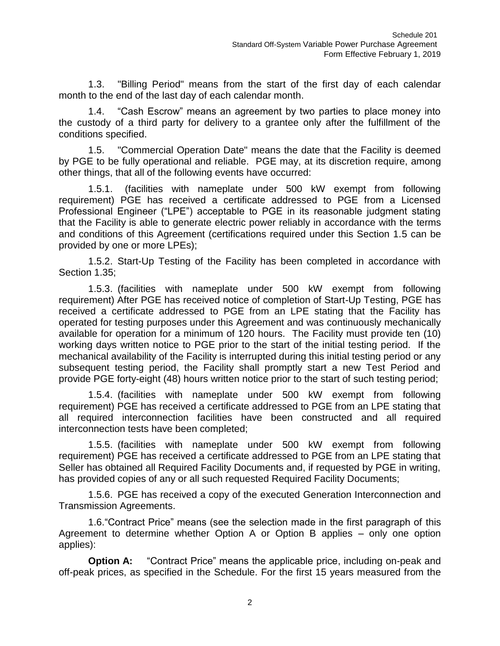1.3. "Billing Period" means from the start of the first day of each calendar month to the end of the last day of each calendar month.

1.4. "Cash Escrow" means an agreement by two parties to place money into the custody of a third party for delivery to a grantee only after the fulfillment of the conditions specified.

1.5. "Commercial Operation Date" means the date that the Facility is deemed by PGE to be fully operational and reliable. PGE may, at its discretion require, among other things, that all of the following events have occurred:

1.5.1. (facilities with nameplate under 500 kW exempt from following requirement) PGE has received a certificate addressed to PGE from a Licensed Professional Engineer ("LPE") acceptable to PGE in its reasonable judgment stating that the Facility is able to generate electric power reliably in accordance with the terms and conditions of this Agreement (certifications required under this Section 1.5 can be provided by one or more LPEs);

1.5.2. Start-Up Testing of the Facility has been completed in accordance with Section 1.35;

1.5.3. (facilities with nameplate under 500 kW exempt from following requirement) After PGE has received notice of completion of Start-Up Testing, PGE has received a certificate addressed to PGE from an LPE stating that the Facility has operated for testing purposes under this Agreement and was continuously mechanically available for operation for a minimum of 120 hours. The Facility must provide ten (10) working days written notice to PGE prior to the start of the initial testing period. If the mechanical availability of the Facility is interrupted during this initial testing period or any subsequent testing period, the Facility shall promptly start a new Test Period and provide PGE forty-eight (48) hours written notice prior to the start of such testing period;

1.5.4. (facilities with nameplate under 500 kW exempt from following requirement) PGE has received a certificate addressed to PGE from an LPE stating that all required interconnection facilities have been constructed and all required interconnection tests have been completed;

1.5.5. (facilities with nameplate under 500 kW exempt from following requirement) PGE has received a certificate addressed to PGE from an LPE stating that Seller has obtained all Required Facility Documents and, if requested by PGE in writing, has provided copies of any or all such requested Required Facility Documents;

1.5.6. PGE has received a copy of the executed Generation Interconnection and Transmission Agreements.

1.6."Contract Price" means (see the selection made in the first paragraph of this Agreement to determine whether Option A or Option B applies – only one option applies):

**Option A:** "Contract Price" means the applicable price, including on-peak and off-peak prices, as specified in the Schedule. For the first 15 years measured from the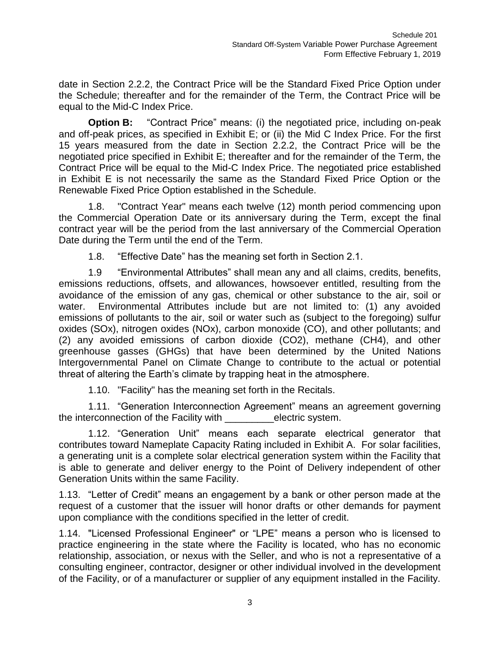date in Section 2.2.2, the Contract Price will be the Standard Fixed Price Option under the Schedule; thereafter and for the remainder of the Term, the Contract Price will be equal to the Mid-C Index Price.

**Option B:** "Contract Price" means: (i) the negotiated price, including on-peak and off-peak prices, as specified in Exhibit E; or (ii) the Mid C Index Price. For the first 15 years measured from the date in Section 2.2.2, the Contract Price will be the negotiated price specified in Exhibit E; thereafter and for the remainder of the Term, the Contract Price will be equal to the Mid-C Index Price. The negotiated price established in Exhibit E is not necessarily the same as the Standard Fixed Price Option or the Renewable Fixed Price Option established in the Schedule.

1.8. "Contract Year" means each twelve (12) month period commencing upon the Commercial Operation Date or its anniversary during the Term, except the final contract year will be the period from the last anniversary of the Commercial Operation Date during the Term until the end of the Term.

1.8. "Effective Date" has the meaning set forth in Section 2.1.

1.9 "Environmental Attributes" shall mean any and all claims, credits, benefits, emissions reductions, offsets, and allowances, howsoever entitled, resulting from the avoidance of the emission of any gas, chemical or other substance to the air, soil or water. Environmental Attributes include but are not limited to: (1) any avoided emissions of pollutants to the air, soil or water such as (subject to the foregoing) sulfur oxides (SOx), nitrogen oxides (NOx), carbon monoxide (CO), and other pollutants; and (2) any avoided emissions of carbon dioxide (CO2), methane (CH4), and other greenhouse gasses (GHGs) that have been determined by the United Nations Intergovernmental Panel on Climate Change to contribute to the actual or potential threat of altering the Earth's climate by trapping heat in the atmosphere.

1.10. "Facility" has the meaning set forth in the Recitals.

1.11. "Generation Interconnection Agreement" means an agreement governing the interconnection of the Facility with electric system.

1.12. "Generation Unit" means each separate electrical generator that contributes toward Nameplate Capacity Rating included in Exhibit A. For solar facilities, a generating unit is a complete solar electrical generation system within the Facility that is able to generate and deliver energy to the Point of Delivery independent of other Generation Units within the same Facility.

1.13. "Letter of Credit" means an engagement by a bank or other person made at the request of a customer that the issuer will honor drafts or other demands for payment upon compliance with the conditions specified in the letter of credit.

1.14. "Licensed Professional Engineer" or "LPE" means a person who is licensed to practice engineering in the state where the Facility is located, who has no economic relationship, association, or nexus with the Seller, and who is not a representative of a consulting engineer, contractor, designer or other individual involved in the development of the Facility, or of a manufacturer or supplier of any equipment installed in the Facility.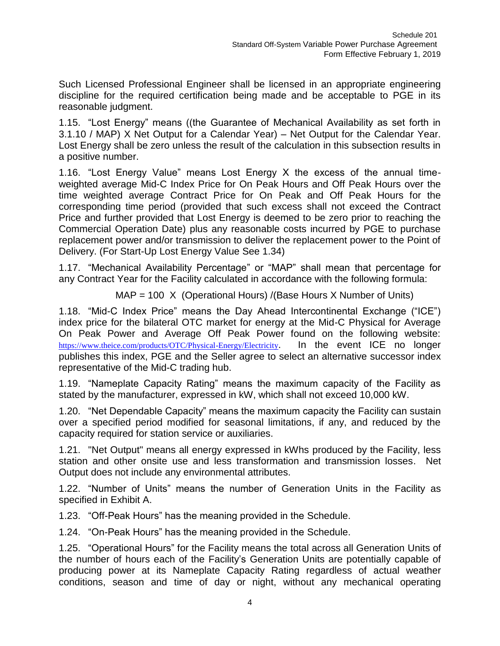Such Licensed Professional Engineer shall be licensed in an appropriate engineering discipline for the required certification being made and be acceptable to PGE in its reasonable judgment.

1.15. "Lost Energy" means ((the Guarantee of Mechanical Availability as set forth in 3.1.10 / MAP) X Net Output for a Calendar Year) – Net Output for the Calendar Year. Lost Energy shall be zero unless the result of the calculation in this subsection results in a positive number.

1.16. "Lost Energy Value" means Lost Energy X the excess of the annual timeweighted average Mid-C Index Price for On Peak Hours and Off Peak Hours over the time weighted average Contract Price for On Peak and Off Peak Hours for the corresponding time period (provided that such excess shall not exceed the Contract Price and further provided that Lost Energy is deemed to be zero prior to reaching the Commercial Operation Date) plus any reasonable costs incurred by PGE to purchase replacement power and/or transmission to deliver the replacement power to the Point of Delivery. (For Start-Up Lost Energy Value See 1.34)

1.17. "Mechanical Availability Percentage" or "MAP" shall mean that percentage for any Contract Year for the Facility calculated in accordance with the following formula:

MAP = 100 X (Operational Hours) /(Base Hours X Number of Units)

1.18. "Mid-C Index Price" means the Day Ahead Intercontinental Exchange ("ICE") index price for the bilateral OTC market for energy at the Mid-C Physical for Average On Peak Power and Average Off Peak Power found on the following website: <https://www.theice.com/products/OTC/Physical-Energy/Electricity>. In the event ICE no longer publishes this index, PGE and the Seller agree to select an alternative successor index representative of the Mid-C trading hub.

1.19. "Nameplate Capacity Rating" means the maximum capacity of the Facility as stated by the manufacturer, expressed in kW, which shall not exceed 10,000 kW.

1.20. "Net Dependable Capacity" means the maximum capacity the Facility can sustain over a specified period modified for seasonal limitations, if any, and reduced by the capacity required for station service or auxiliaries.

1.21. "Net Output" means all energy expressed in kWhs produced by the Facility, less station and other onsite use and less transformation and transmission losses. Net Output does not include any environmental attributes.

1.22. "Number of Units" means the number of Generation Units in the Facility as specified in Exhibit A.

1.23. "Off-Peak Hours" has the meaning provided in the Schedule.

1.24. "On-Peak Hours" has the meaning provided in the Schedule.

1.25. "Operational Hours" for the Facility means the total across all Generation Units of the number of hours each of the Facility's Generation Units are potentially capable of producing power at its Nameplate Capacity Rating regardless of actual weather conditions, season and time of day or night, without any mechanical operating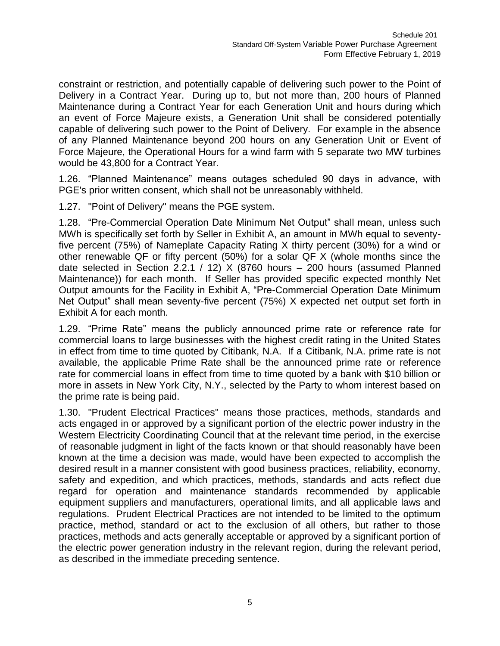constraint or restriction, and potentially capable of delivering such power to the Point of Delivery in a Contract Year. During up to, but not more than, 200 hours of Planned Maintenance during a Contract Year for each Generation Unit and hours during which an event of Force Majeure exists, a Generation Unit shall be considered potentially capable of delivering such power to the Point of Delivery. For example in the absence of any Planned Maintenance beyond 200 hours on any Generation Unit or Event of Force Majeure, the Operational Hours for a wind farm with 5 separate two MW turbines would be 43,800 for a Contract Year.

1.26. "Planned Maintenance" means outages scheduled 90 days in advance, with PGE's prior written consent, which shall not be unreasonably withheld.

1.27. "Point of Delivery" means the PGE system.

1.28. "Pre-Commercial Operation Date Minimum Net Output" shall mean, unless such MWh is specifically set forth by Seller in Exhibit A, an amount in MWh equal to seventyfive percent (75%) of Nameplate Capacity Rating X thirty percent (30%) for a wind or other renewable QF or fifty percent (50%) for a solar QF X (whole months since the date selected in Section 2.2.1 / 12) X (8760 hours – 200 hours (assumed Planned Maintenance)) for each month. If Seller has provided specific expected monthly Net Output amounts for the Facility in Exhibit A, "Pre-Commercial Operation Date Minimum Net Output" shall mean seventy-five percent (75%) X expected net output set forth in Exhibit A for each month.

1.29. "Prime Rate" means the publicly announced prime rate or reference rate for commercial loans to large businesses with the highest credit rating in the United States in effect from time to time quoted by Citibank, N.A. If a Citibank, N.A. prime rate is not available, the applicable Prime Rate shall be the announced prime rate or reference rate for commercial loans in effect from time to time quoted by a bank with \$10 billion or more in assets in New York City, N.Y., selected by the Party to whom interest based on the prime rate is being paid.

1.30. "Prudent Electrical Practices" means those practices, methods, standards and acts engaged in or approved by a significant portion of the electric power industry in the Western Electricity Coordinating Council that at the relevant time period, in the exercise of reasonable judgment in light of the facts known or that should reasonably have been known at the time a decision was made, would have been expected to accomplish the desired result in a manner consistent with good business practices, reliability, economy, safety and expedition, and which practices, methods, standards and acts reflect due regard for operation and maintenance standards recommended by applicable equipment suppliers and manufacturers, operational limits, and all applicable laws and regulations. Prudent Electrical Practices are not intended to be limited to the optimum practice, method, standard or act to the exclusion of all others, but rather to those practices, methods and acts generally acceptable or approved by a significant portion of the electric power generation industry in the relevant region, during the relevant period, as described in the immediate preceding sentence.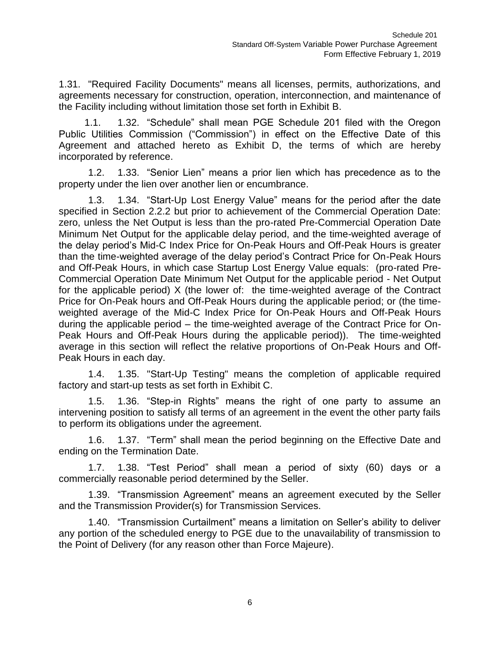1.31. "Required Facility Documents" means all licenses, permits, authorizations, and agreements necessary for construction, operation, interconnection, and maintenance of the Facility including without limitation those set forth in Exhibit B.

1.1. 1.32. "Schedule" shall mean PGE Schedule 201 filed with the Oregon Public Utilities Commission ("Commission") in effect on the Effective Date of this Agreement and attached hereto as Exhibit D, the terms of which are hereby incorporated by reference.

1.2. 1.33. "Senior Lien" means a prior lien which has precedence as to the property under the lien over another lien or encumbrance.

1.3. 1.34. "Start-Up Lost Energy Value" means for the period after the date specified in Section 2.2.2 but prior to achievement of the Commercial Operation Date: zero, unless the Net Output is less than the pro-rated Pre-Commercial Operation Date Minimum Net Output for the applicable delay period, and the time-weighted average of the delay period's Mid-C Index Price for On-Peak Hours and Off-Peak Hours is greater than the time-weighted average of the delay period's Contract Price for On-Peak Hours and Off-Peak Hours, in which case Startup Lost Energy Value equals: (pro-rated Pre-Commercial Operation Date Minimum Net Output for the applicable period - Net Output for the applicable period) X (the lower of: the time-weighted average of the Contract Price for On-Peak hours and Off-Peak Hours during the applicable period; or (the timeweighted average of the Mid-C Index Price for On-Peak Hours and Off-Peak Hours during the applicable period – the time-weighted average of the Contract Price for On-Peak Hours and Off-Peak Hours during the applicable period)). The time-weighted average in this section will reflect the relative proportions of On-Peak Hours and Off-Peak Hours in each day.

1.4. 1.35. "Start-Up Testing" means the completion of applicable required factory and start-up tests as set forth in Exhibit C.

1.5. 1.36. "Step-in Rights" means the right of one party to assume an intervening position to satisfy all terms of an agreement in the event the other party fails to perform its obligations under the agreement.

1.6. 1.37. "Term" shall mean the period beginning on the Effective Date and ending on the Termination Date.

1.7. 1.38. "Test Period" shall mean a period of sixty (60) days or a commercially reasonable period determined by the Seller.

1.39. "Transmission Agreement" means an agreement executed by the Seller and the Transmission Provider(s) for Transmission Services.

1.40. "Transmission Curtailment" means a limitation on Seller's ability to deliver any portion of the scheduled energy to PGE due to the unavailability of transmission to the Point of Delivery (for any reason other than Force Majeure).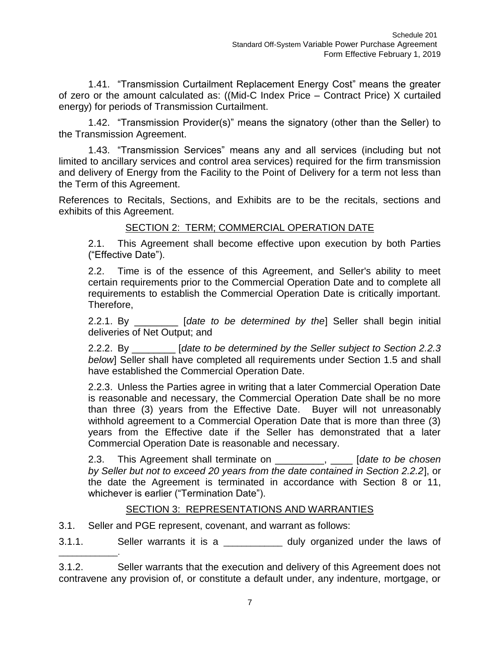1.41. "Transmission Curtailment Replacement Energy Cost" means the greater of zero or the amount calculated as: ((Mid-C Index Price – Contract Price) X curtailed energy) for periods of Transmission Curtailment.

1.42. "Transmission Provider(s)" means the signatory (other than the Seller) to the Transmission Agreement.

1.43. "Transmission Services" means any and all services (including but not limited to ancillary services and control area services) required for the firm transmission and delivery of Energy from the Facility to the Point of Delivery for a term not less than the Term of this Agreement.

References to Recitals, Sections, and Exhibits are to be the recitals, sections and exhibits of this Agreement.

# SECTION 2: TERM; COMMERCIAL OPERATION DATE

2.1. This Agreement shall become effective upon execution by both Parties ("Effective Date").

2.2. Time is of the essence of this Agreement, and Seller's ability to meet certain requirements prior to the Commercial Operation Date and to complete all requirements to establish the Commercial Operation Date is critically important. Therefore,

2.2.1. By \_\_\_\_\_\_\_\_ [*date to be determined by the*] Seller shall begin initial deliveries of Net Output; and

2.2.2. By \_\_\_\_\_\_\_\_ [*date to be determined by the Seller subject to Section 2.2.3 below*] Seller shall have completed all requirements under Section 1.5 and shall have established the Commercial Operation Date.

2.2.3. Unless the Parties agree in writing that a later Commercial Operation Date is reasonable and necessary, the Commercial Operation Date shall be no more than three (3) years from the Effective Date. Buyer will not unreasonably withhold agreement to a Commercial Operation Date that is more than three (3) years from the Effective date if the Seller has demonstrated that a later Commercial Operation Date is reasonable and necessary.

2.3. This Agreement shall terminate on \_\_\_\_\_\_\_\_\_, \_\_\_\_ [*date to be chosen by Seller but not to exceed 20 years from the date contained in Section 2.2.2*], or the date the Agreement is terminated in accordance with Section 8 or 11, whichever is earlier ("Termination Date").

## SECTION 3: REPRESENTATIONS AND WARRANTIES

3.1. Seller and PGE represent, covenant, and warrant as follows:

\_\_\_\_\_\_\_\_\_\_\_\_\_.

3.1.1. Seller warrants it is a \_\_\_\_\_\_\_\_\_\_\_\_\_ duly organized under the laws of

3.1.2. Seller warrants that the execution and delivery of this Agreement does not contravene any provision of, or constitute a default under, any indenture, mortgage, or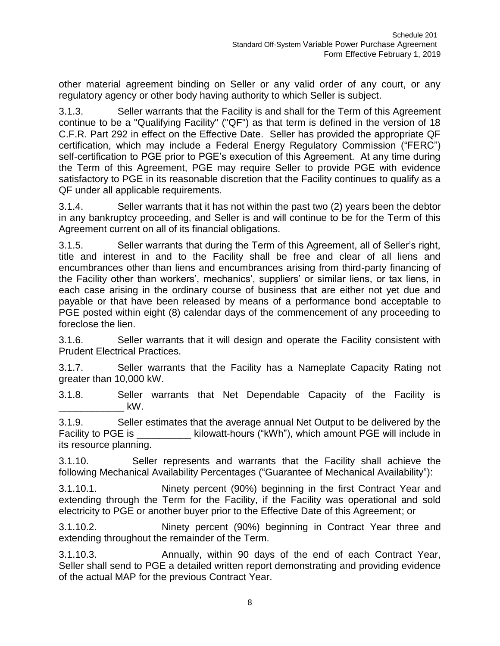other material agreement binding on Seller or any valid order of any court, or any regulatory agency or other body having authority to which Seller is subject.

3.1.3. Seller warrants that the Facility is and shall for the Term of this Agreement continue to be a "Qualifying Facility" ("QF") as that term is defined in the version of 18 C.F.R. Part 292 in effect on the Effective Date. Seller has provided the appropriate QF certification, which may include a Federal Energy Regulatory Commission ("FERC") self-certification to PGE prior to PGE's execution of this Agreement. At any time during the Term of this Agreement, PGE may require Seller to provide PGE with evidence satisfactory to PGE in its reasonable discretion that the Facility continues to qualify as a QF under all applicable requirements.

3.1.4. Seller warrants that it has not within the past two (2) years been the debtor in any bankruptcy proceeding, and Seller is and will continue to be for the Term of this Agreement current on all of its financial obligations.

3.1.5. Seller warrants that during the Term of this Agreement, all of Seller's right, title and interest in and to the Facility shall be free and clear of all liens and encumbrances other than liens and encumbrances arising from third-party financing of the Facility other than workers', mechanics', suppliers' or similar liens, or tax liens, in each case arising in the ordinary course of business that are either not yet due and payable or that have been released by means of a performance bond acceptable to PGE posted within eight (8) calendar days of the commencement of any proceeding to foreclose the lien.

3.1.6. Seller warrants that it will design and operate the Facility consistent with Prudent Electrical Practices.

3.1.7. Seller warrants that the Facility has a Nameplate Capacity Rating not greater than 10,000 kW.

3.1.8. Seller warrants that Net Dependable Capacity of the Facility is  $\mathsf{kW}.$ 

3.1.9. Seller estimates that the average annual Net Output to be delivered by the Facility to PGE is \_\_\_\_\_\_\_\_\_\_\_\_ kilowatt-hours ("kWh"), which amount PGE will include in its resource planning.

3.1.10. Seller represents and warrants that the Facility shall achieve the following Mechanical Availability Percentages ("Guarantee of Mechanical Availability"):

3.1.10.1. Ninety percent (90%) beginning in the first Contract Year and extending through the Term for the Facility, if the Facility was operational and sold electricity to PGE or another buyer prior to the Effective Date of this Agreement; or

3.1.10.2. Ninety percent (90%) beginning in Contract Year three and extending throughout the remainder of the Term.

3.1.10.3. Annually, within 90 days of the end of each Contract Year, Seller shall send to PGE a detailed written report demonstrating and providing evidence of the actual MAP for the previous Contract Year.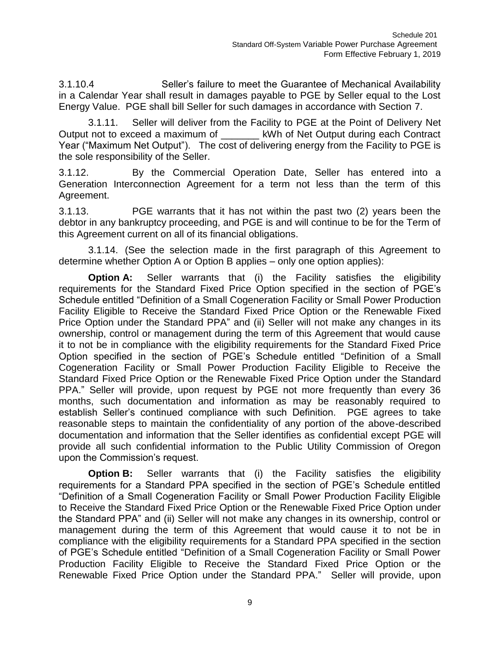3.1.10.4 Seller's failure to meet the Guarantee of Mechanical Availability in a Calendar Year shall result in damages payable to PGE by Seller equal to the Lost Energy Value. PGE shall bill Seller for such damages in accordance with Section 7.

3.1.11. Seller will deliver from the Facility to PGE at the Point of Delivery Net Output not to exceed a maximum of \_\_\_\_\_\_\_ kWh of Net Output during each Contract Year ("Maximum Net Output"). The cost of delivering energy from the Facility to PGE is the sole responsibility of the Seller.

3.1.12. By the Commercial Operation Date, Seller has entered into a Generation Interconnection Agreement for a term not less than the term of this Agreement.

3.1.13. PGE warrants that it has not within the past two (2) years been the debtor in any bankruptcy proceeding, and PGE is and will continue to be for the Term of this Agreement current on all of its financial obligations.

3.1.14. (See the selection made in the first paragraph of this Agreement to determine whether Option A or Option B applies – only one option applies):

**Option A:** Seller warrants that (i) the Facility satisfies the eligibility requirements for the Standard Fixed Price Option specified in the section of PGE's Schedule entitled "Definition of a Small Cogeneration Facility or Small Power Production Facility Eligible to Receive the Standard Fixed Price Option or the Renewable Fixed Price Option under the Standard PPA" and (ii) Seller will not make any changes in its ownership, control or management during the term of this Agreement that would cause it to not be in compliance with the eligibility requirements for the Standard Fixed Price Option specified in the section of PGE's Schedule entitled "Definition of a Small Cogeneration Facility or Small Power Production Facility Eligible to Receive the Standard Fixed Price Option or the Renewable Fixed Price Option under the Standard PPA." Seller will provide, upon request by PGE not more frequently than every 36 months, such documentation and information as may be reasonably required to establish Seller's continued compliance with such Definition. PGE agrees to take reasonable steps to maintain the confidentiality of any portion of the above-described documentation and information that the Seller identifies as confidential except PGE will provide all such confidential information to the Public Utility Commission of Oregon upon the Commission's request.

**Option B:** Seller warrants that (i) the Facility satisfies the eligibility requirements for a Standard PPA specified in the section of PGE's Schedule entitled "Definition of a Small Cogeneration Facility or Small Power Production Facility Eligible to Receive the Standard Fixed Price Option or the Renewable Fixed Price Option under the Standard PPA" and (ii) Seller will not make any changes in its ownership, control or management during the term of this Agreement that would cause it to not be in compliance with the eligibility requirements for a Standard PPA specified in the section of PGE's Schedule entitled "Definition of a Small Cogeneration Facility or Small Power Production Facility Eligible to Receive the Standard Fixed Price Option or the Renewable Fixed Price Option under the Standard PPA." Seller will provide, upon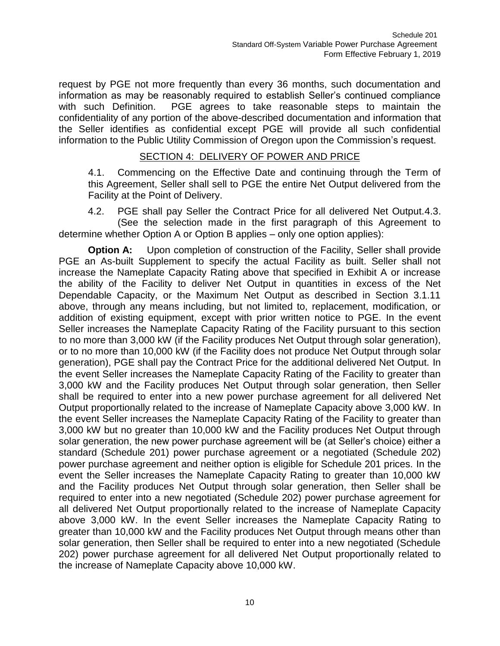request by PGE not more frequently than every 36 months, such documentation and information as may be reasonably required to establish Seller's continued compliance with such Definition. PGE agrees to take reasonable steps to maintain the confidentiality of any portion of the above-described documentation and information that the Seller identifies as confidential except PGE will provide all such confidential information to the Public Utility Commission of Oregon upon the Commission's request.

# SECTION 4: DELIVERY OF POWER AND PRICE

4.1. Commencing on the Effective Date and continuing through the Term of this Agreement, Seller shall sell to PGE the entire Net Output delivered from the Facility at the Point of Delivery.

4.2. PGE shall pay Seller the Contract Price for all delivered Net Output.4.3. (See the selection made in the first paragraph of this Agreement to determine whether Option A or Option B applies – only one option applies):

**Option A:** Upon completion of construction of the Facility, Seller shall provide PGE an As-built Supplement to specify the actual Facility as built. Seller shall not increase the Nameplate Capacity Rating above that specified in Exhibit A or increase the ability of the Facility to deliver Net Output in quantities in excess of the Net Dependable Capacity, or the Maximum Net Output as described in Section 3.1.11 above, through any means including, but not limited to, replacement, modification, or addition of existing equipment, except with prior written notice to PGE. In the event Seller increases the Nameplate Capacity Rating of the Facility pursuant to this section to no more than 3,000 kW (if the Facility produces Net Output through solar generation), or to no more than 10,000 kW (if the Facility does not produce Net Output through solar generation), PGE shall pay the Contract Price for the additional delivered Net Output. In the event Seller increases the Nameplate Capacity Rating of the Facility to greater than 3,000 kW and the Facility produces Net Output through solar generation, then Seller shall be required to enter into a new power purchase agreement for all delivered Net Output proportionally related to the increase of Nameplate Capacity above 3,000 kW. In the event Seller increases the Nameplate Capacity Rating of the Facility to greater than 3,000 kW but no greater than 10,000 kW and the Facility produces Net Output through solar generation, the new power purchase agreement will be (at Seller's choice) either a standard (Schedule 201) power purchase agreement or a negotiated (Schedule 202) power purchase agreement and neither option is eligible for Schedule 201 prices. In the event the Seller increases the Nameplate Capacity Rating to greater than 10,000 kW and the Facility produces Net Output through solar generation, then Seller shall be required to enter into a new negotiated (Schedule 202) power purchase agreement for all delivered Net Output proportionally related to the increase of Nameplate Capacity above 3,000 kW. In the event Seller increases the Nameplate Capacity Rating to greater than 10,000 kW and the Facility produces Net Output through means other than solar generation, then Seller shall be required to enter into a new negotiated (Schedule 202) power purchase agreement for all delivered Net Output proportionally related to the increase of Nameplate Capacity above 10,000 kW.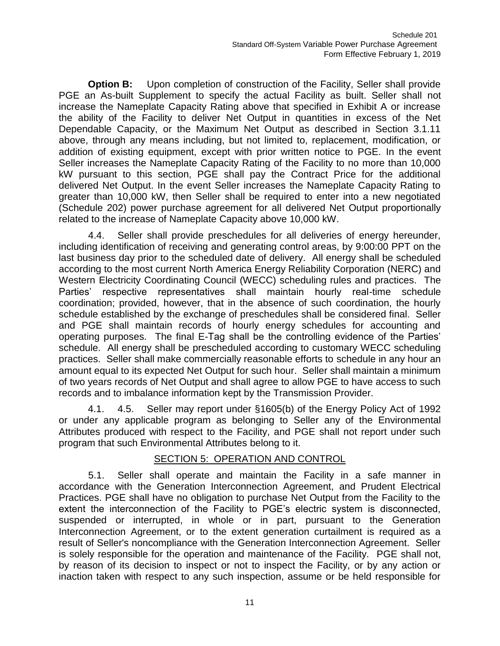**Option B:** Upon completion of construction of the Facility, Seller shall provide PGE an As-built Supplement to specify the actual Facility as built. Seller shall not increase the Nameplate Capacity Rating above that specified in Exhibit A or increase the ability of the Facility to deliver Net Output in quantities in excess of the Net Dependable Capacity, or the Maximum Net Output as described in Section 3.1.11 above, through any means including, but not limited to, replacement, modification, or addition of existing equipment, except with prior written notice to PGE. In the event Seller increases the Nameplate Capacity Rating of the Facility to no more than 10,000 kW pursuant to this section, PGE shall pay the Contract Price for the additional delivered Net Output. In the event Seller increases the Nameplate Capacity Rating to greater than 10,000 kW, then Seller shall be required to enter into a new negotiated (Schedule 202) power purchase agreement for all delivered Net Output proportionally related to the increase of Nameplate Capacity above 10,000 kW.

4.4. Seller shall provide preschedules for all deliveries of energy hereunder, including identification of receiving and generating control areas, by 9:00:00 PPT on the last business day prior to the scheduled date of delivery. All energy shall be scheduled according to the most current North America Energy Reliability Corporation (NERC) and Western Electricity Coordinating Council (WECC) scheduling rules and practices. The Parties' respective representatives shall maintain hourly real-time schedule coordination; provided, however, that in the absence of such coordination, the hourly schedule established by the exchange of preschedules shall be considered final. Seller and PGE shall maintain records of hourly energy schedules for accounting and operating purposes. The final E-Tag shall be the controlling evidence of the Parties' schedule. All energy shall be prescheduled according to customary WECC scheduling practices. Seller shall make commercially reasonable efforts to schedule in any hour an amount equal to its expected Net Output for such hour. Seller shall maintain a minimum of two years records of Net Output and shall agree to allow PGE to have access to such records and to imbalance information kept by the Transmission Provider.

4.1. 4.5. Seller may report under §1605(b) of the Energy Policy Act of 1992 or under any applicable program as belonging to Seller any of the Environmental Attributes produced with respect to the Facility, and PGE shall not report under such program that such Environmental Attributes belong to it.

## SECTION 5: OPERATION AND CONTROL

5.1. Seller shall operate and maintain the Facility in a safe manner in accordance with the Generation Interconnection Agreement, and Prudent Electrical Practices. PGE shall have no obligation to purchase Net Output from the Facility to the extent the interconnection of the Facility to PGE's electric system is disconnected, suspended or interrupted, in whole or in part, pursuant to the Generation Interconnection Agreement, or to the extent generation curtailment is required as a result of Seller's noncompliance with the Generation Interconnection Agreement. Seller is solely responsible for the operation and maintenance of the Facility. PGE shall not, by reason of its decision to inspect or not to inspect the Facility, or by any action or inaction taken with respect to any such inspection, assume or be held responsible for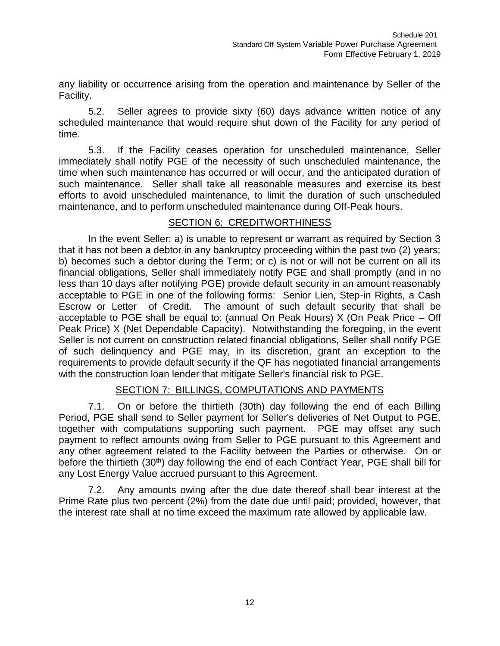any liability or occurrence arising from the operation and maintenance by Seller of the Facility.

5.2. Seller agrees to provide sixty (60) days advance written notice of any scheduled maintenance that would require shut down of the Facility for any period of time.

5.3. If the Facility ceases operation for unscheduled maintenance, Seller immediately shall notify PGE of the necessity of such unscheduled maintenance, the time when such maintenance has occurred or will occur, and the anticipated duration of such maintenance. Seller shall take all reasonable measures and exercise its best efforts to avoid unscheduled maintenance, to limit the duration of such unscheduled maintenance, and to perform unscheduled maintenance during Off-Peak hours.

## SECTION 6: CREDITWORTHINESS

In the event Seller: a) is unable to represent or warrant as required by Section 3 that it has not been a debtor in any bankruptcy proceeding within the past two (2) years; b) becomes such a debtor during the Term; or c) is not or will not be current on all its financial obligations, Seller shall immediately notify PGE and shall promptly (and in no less than 10 days after notifying PGE) provide default security in an amount reasonably acceptable to PGE in one of the following forms: Senior Lien, Step-in Rights, a Cash Escrow or Letter of Credit. The amount of such default security that shall be acceptable to PGE shall be equal to: (annual On Peak Hours) X (On Peak Price – Off Peak Price) X (Net Dependable Capacity). Notwithstanding the foregoing, in the event Seller is not current on construction related financial obligations, Seller shall notify PGE of such delinquency and PGE may, in its discretion, grant an exception to the requirements to provide default security if the QF has negotiated financial arrangements with the construction loan lender that mitigate Seller's financial risk to PGE.

# SECTION 7: BILLINGS, COMPUTATIONS AND PAYMENTS

7.1. On or before the thirtieth (30th) day following the end of each Billing Period, PGE shall send to Seller payment for Seller's deliveries of Net Output to PGE, together with computations supporting such payment. PGE may offset any such payment to reflect amounts owing from Seller to PGE pursuant to this Agreement and any other agreement related to the Facility between the Parties or otherwise. On or before the thirtieth (30<sup>th</sup>) day following the end of each Contract Year, PGE shall bill for any Lost Energy Value accrued pursuant to this Agreement.

7.2. Any amounts owing after the due date thereof shall bear interest at the Prime Rate plus two percent (2%) from the date due until paid; provided, however, that the interest rate shall at no time exceed the maximum rate allowed by applicable law.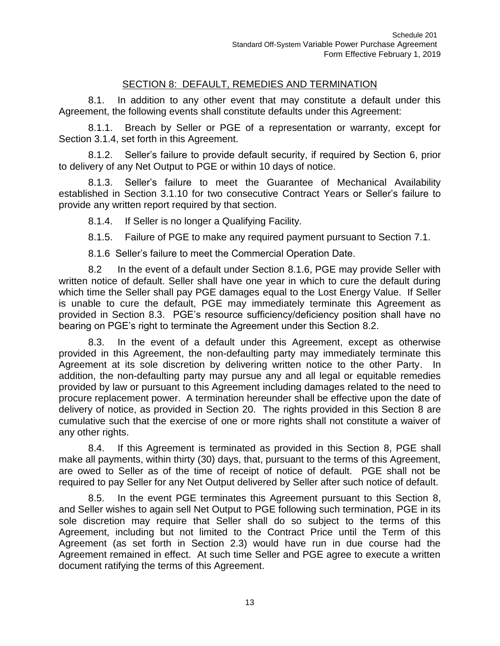# SECTION 8: DEFAULT, REMEDIES AND TERMINATION

8.1. In addition to any other event that may constitute a default under this Agreement, the following events shall constitute defaults under this Agreement:

8.1.1. Breach by Seller or PGE of a representation or warranty, except for Section 3.1.4, set forth in this Agreement.

8.1.2. Seller's failure to provide default security, if required by Section 6, prior to delivery of any Net Output to PGE or within 10 days of notice.

8.1.3. Seller's failure to meet the Guarantee of Mechanical Availability established in Section 3.1.10 for two consecutive Contract Years or Seller's failure to provide any written report required by that section.

8.1.4. If Seller is no longer a Qualifying Facility.

8.1.5. Failure of PGE to make any required payment pursuant to Section 7.1.

8.1.6 Seller's failure to meet the Commercial Operation Date.

8.2 In the event of a default under Section 8.1.6, PGE may provide Seller with written notice of default. Seller shall have one year in which to cure the default during which time the Seller shall pay PGE damages equal to the Lost Energy Value. If Seller is unable to cure the default, PGE may immediately terminate this Agreement as provided in Section 8.3. PGE's resource sufficiency/deficiency position shall have no bearing on PGE's right to terminate the Agreement under this Section 8.2.

8.3. In the event of a default under this Agreement, except as otherwise provided in this Agreement, the non-defaulting party may immediately terminate this Agreement at its sole discretion by delivering written notice to the other Party. In addition, the non-defaulting party may pursue any and all legal or equitable remedies provided by law or pursuant to this Agreement including damages related to the need to procure replacement power. A termination hereunder shall be effective upon the date of delivery of notice, as provided in Section 20. The rights provided in this Section 8 are cumulative such that the exercise of one or more rights shall not constitute a waiver of any other rights.

8.4. If this Agreement is terminated as provided in this Section 8, PGE shall make all payments, within thirty (30) days, that, pursuant to the terms of this Agreement, are owed to Seller as of the time of receipt of notice of default. PGE shall not be required to pay Seller for any Net Output delivered by Seller after such notice of default.

8.5. In the event PGE terminates this Agreement pursuant to this Section 8, and Seller wishes to again sell Net Output to PGE following such termination, PGE in its sole discretion may require that Seller shall do so subject to the terms of this Agreement, including but not limited to the Contract Price until the Term of this Agreement (as set forth in Section 2.3) would have run in due course had the Agreement remained in effect. At such time Seller and PGE agree to execute a written document ratifying the terms of this Agreement.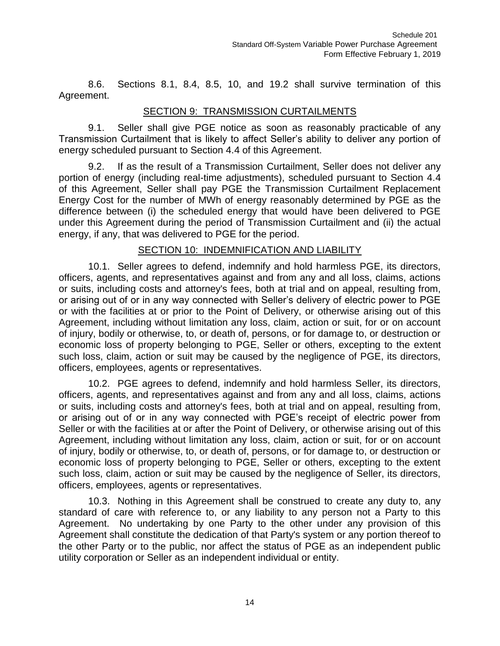8.6. Sections 8.1, 8.4, 8.5, 10, and 19.2 shall survive termination of this Agreement.

# SECTION 9: TRANSMISSION CURTAILMENTS

9.1. Seller shall give PGE notice as soon as reasonably practicable of any Transmission Curtailment that is likely to affect Seller's ability to deliver any portion of energy scheduled pursuant to Section 4.4 of this Agreement.

9.2. If as the result of a Transmission Curtailment, Seller does not deliver any portion of energy (including real-time adjustments), scheduled pursuant to Section 4.4 of this Agreement, Seller shall pay PGE the Transmission Curtailment Replacement Energy Cost for the number of MWh of energy reasonably determined by PGE as the difference between (i) the scheduled energy that would have been delivered to PGE under this Agreement during the period of Transmission Curtailment and (ii) the actual energy, if any, that was delivered to PGE for the period.

## SECTION 10: INDEMNIFICATION AND LIABILITY

10.1. Seller agrees to defend, indemnify and hold harmless PGE, its directors, officers, agents, and representatives against and from any and all loss, claims, actions or suits, including costs and attorney's fees, both at trial and on appeal, resulting from, or arising out of or in any way connected with Seller's delivery of electric power to PGE or with the facilities at or prior to the Point of Delivery, or otherwise arising out of this Agreement, including without limitation any loss, claim, action or suit, for or on account of injury, bodily or otherwise, to, or death of, persons, or for damage to, or destruction or economic loss of property belonging to PGE, Seller or others, excepting to the extent such loss, claim, action or suit may be caused by the negligence of PGE, its directors, officers, employees, agents or representatives.

10.2. PGE agrees to defend, indemnify and hold harmless Seller, its directors, officers, agents, and representatives against and from any and all loss, claims, actions or suits, including costs and attorney's fees, both at trial and on appeal, resulting from, or arising out of or in any way connected with PGE's receipt of electric power from Seller or with the facilities at or after the Point of Delivery, or otherwise arising out of this Agreement, including without limitation any loss, claim, action or suit, for or on account of injury, bodily or otherwise, to, or death of, persons, or for damage to, or destruction or economic loss of property belonging to PGE, Seller or others, excepting to the extent such loss, claim, action or suit may be caused by the negligence of Seller, its directors, officers, employees, agents or representatives.

10.3. Nothing in this Agreement shall be construed to create any duty to, any standard of care with reference to, or any liability to any person not a Party to this Agreement. No undertaking by one Party to the other under any provision of this Agreement shall constitute the dedication of that Party's system or any portion thereof to the other Party or to the public, nor affect the status of PGE as an independent public utility corporation or Seller as an independent individual or entity.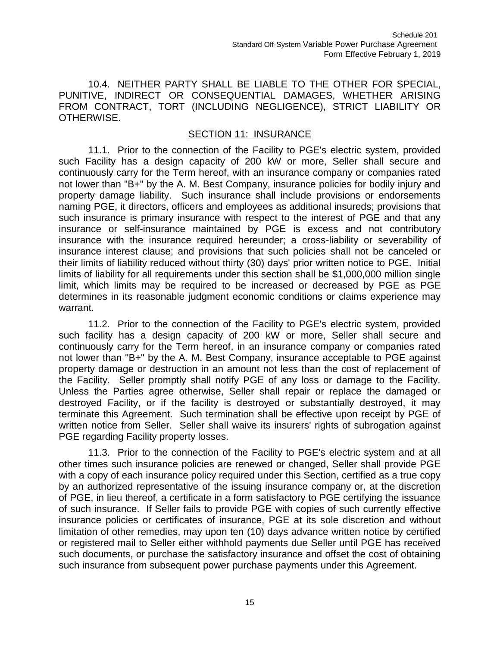10.4. NEITHER PARTY SHALL BE LIABLE TO THE OTHER FOR SPECIAL, PUNITIVE, INDIRECT OR CONSEQUENTIAL DAMAGES, WHETHER ARISING FROM CONTRACT, TORT (INCLUDING NEGLIGENCE), STRICT LIABILITY OR OTHERWISE.

# SECTION 11: INSURANCE

11.1. Prior to the connection of the Facility to PGE's electric system, provided such Facility has a design capacity of 200 kW or more, Seller shall secure and continuously carry for the Term hereof, with an insurance company or companies rated not lower than "B+" by the A. M. Best Company, insurance policies for bodily injury and property damage liability. Such insurance shall include provisions or endorsements naming PGE, it directors, officers and employees as additional insureds; provisions that such insurance is primary insurance with respect to the interest of PGE and that any insurance or self-insurance maintained by PGE is excess and not contributory insurance with the insurance required hereunder; a cross-liability or severability of insurance interest clause; and provisions that such policies shall not be canceled or their limits of liability reduced without thirty (30) days' prior written notice to PGE. Initial limits of liability for all requirements under this section shall be \$1,000,000 million single limit, which limits may be required to be increased or decreased by PGE as PGE determines in its reasonable judgment economic conditions or claims experience may warrant.

11.2. Prior to the connection of the Facility to PGE's electric system, provided such facility has a design capacity of 200 kW or more, Seller shall secure and continuously carry for the Term hereof, in an insurance company or companies rated not lower than "B+" by the A. M. Best Company, insurance acceptable to PGE against property damage or destruction in an amount not less than the cost of replacement of the Facility. Seller promptly shall notify PGE of any loss or damage to the Facility. Unless the Parties agree otherwise, Seller shall repair or replace the damaged or destroyed Facility, or if the facility is destroyed or substantially destroyed, it may terminate this Agreement. Such termination shall be effective upon receipt by PGE of written notice from Seller. Seller shall waive its insurers' rights of subrogation against PGE regarding Facility property losses.

11.3. Prior to the connection of the Facility to PGE's electric system and at all other times such insurance policies are renewed or changed, Seller shall provide PGE with a copy of each insurance policy required under this Section, certified as a true copy by an authorized representative of the issuing insurance company or, at the discretion of PGE, in lieu thereof, a certificate in a form satisfactory to PGE certifying the issuance of such insurance. If Seller fails to provide PGE with copies of such currently effective insurance policies or certificates of insurance, PGE at its sole discretion and without limitation of other remedies, may upon ten (10) days advance written notice by certified or registered mail to Seller either withhold payments due Seller until PGE has received such documents, or purchase the satisfactory insurance and offset the cost of obtaining such insurance from subsequent power purchase payments under this Agreement.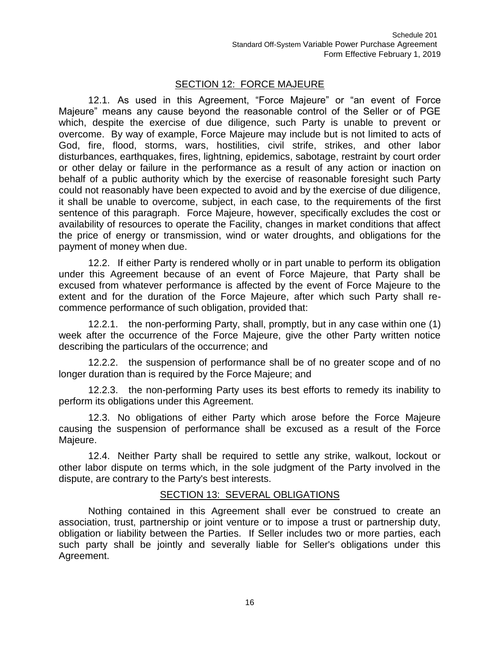# SECTION 12: FORCE MAJEURE

12.1. As used in this Agreement, "Force Majeure" or "an event of Force Majeure" means any cause beyond the reasonable control of the Seller or of PGE which, despite the exercise of due diligence, such Party is unable to prevent or overcome. By way of example, Force Majeure may include but is not limited to acts of God, fire, flood, storms, wars, hostilities, civil strife, strikes, and other labor disturbances, earthquakes, fires, lightning, epidemics, sabotage, restraint by court order or other delay or failure in the performance as a result of any action or inaction on behalf of a public authority which by the exercise of reasonable foresight such Party could not reasonably have been expected to avoid and by the exercise of due diligence, it shall be unable to overcome, subject, in each case, to the requirements of the first sentence of this paragraph. Force Majeure, however, specifically excludes the cost or availability of resources to operate the Facility, changes in market conditions that affect the price of energy or transmission, wind or water droughts, and obligations for the payment of money when due.

12.2. If either Party is rendered wholly or in part unable to perform its obligation under this Agreement because of an event of Force Majeure, that Party shall be excused from whatever performance is affected by the event of Force Majeure to the extent and for the duration of the Force Majeure, after which such Party shall recommence performance of such obligation, provided that:

12.2.1. the non-performing Party, shall, promptly, but in any case within one (1) week after the occurrence of the Force Majeure, give the other Party written notice describing the particulars of the occurrence; and

12.2.2. the suspension of performance shall be of no greater scope and of no longer duration than is required by the Force Majeure; and

12.2.3. the non-performing Party uses its best efforts to remedy its inability to perform its obligations under this Agreement.

12.3. No obligations of either Party which arose before the Force Majeure causing the suspension of performance shall be excused as a result of the Force Majeure.

12.4. Neither Party shall be required to settle any strike, walkout, lockout or other labor dispute on terms which, in the sole judgment of the Party involved in the dispute, are contrary to the Party's best interests.

## SECTION 13: SEVERAL OBLIGATIONS

Nothing contained in this Agreement shall ever be construed to create an association, trust, partnership or joint venture or to impose a trust or partnership duty, obligation or liability between the Parties. If Seller includes two or more parties, each such party shall be jointly and severally liable for Seller's obligations under this Agreement.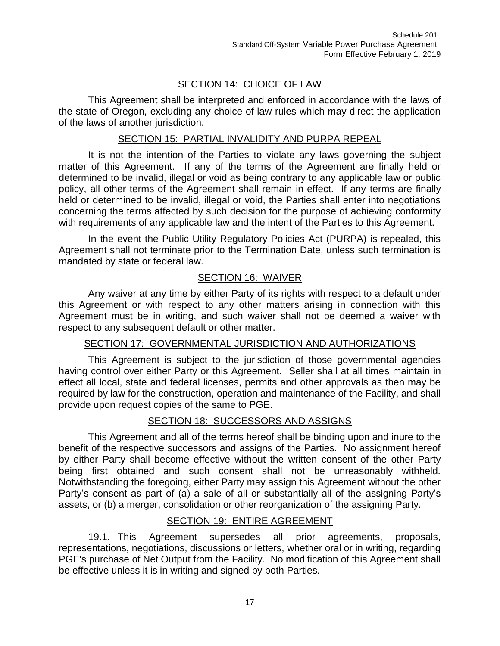# SECTION 14: CHOICE OF LAW

This Agreement shall be interpreted and enforced in accordance with the laws of the state of Oregon, excluding any choice of law rules which may direct the application of the laws of another jurisdiction.

### SECTION 15: PARTIAL INVALIDITY AND PURPA REPEAL

It is not the intention of the Parties to violate any laws governing the subject matter of this Agreement. If any of the terms of the Agreement are finally held or determined to be invalid, illegal or void as being contrary to any applicable law or public policy, all other terms of the Agreement shall remain in effect. If any terms are finally held or determined to be invalid, illegal or void, the Parties shall enter into negotiations concerning the terms affected by such decision for the purpose of achieving conformity with requirements of any applicable law and the intent of the Parties to this Agreement.

In the event the Public Utility Regulatory Policies Act (PURPA) is repealed, this Agreement shall not terminate prior to the Termination Date, unless such termination is mandated by state or federal law.

# SECTION 16: WAIVER

Any waiver at any time by either Party of its rights with respect to a default under this Agreement or with respect to any other matters arising in connection with this Agreement must be in writing, and such waiver shall not be deemed a waiver with respect to any subsequent default or other matter.

## SECTION 17: GOVERNMENTAL JURISDICTION AND AUTHORIZATIONS

This Agreement is subject to the jurisdiction of those governmental agencies having control over either Party or this Agreement. Seller shall at all times maintain in effect all local, state and federal licenses, permits and other approvals as then may be required by law for the construction, operation and maintenance of the Facility, and shall provide upon request copies of the same to PGE.

## SECTION 18: SUCCESSORS AND ASSIGNS

This Agreement and all of the terms hereof shall be binding upon and inure to the benefit of the respective successors and assigns of the Parties. No assignment hereof by either Party shall become effective without the written consent of the other Party being first obtained and such consent shall not be unreasonably withheld. Notwithstanding the foregoing, either Party may assign this Agreement without the other Party's consent as part of (a) a sale of all or substantially all of the assigning Party's assets, or (b) a merger, consolidation or other reorganization of the assigning Party.

## SECTION 19: ENTIRE AGREEMENT

19.1. This Agreement supersedes all prior agreements, proposals, representations, negotiations, discussions or letters, whether oral or in writing, regarding PGE's purchase of Net Output from the Facility. No modification of this Agreement shall be effective unless it is in writing and signed by both Parties.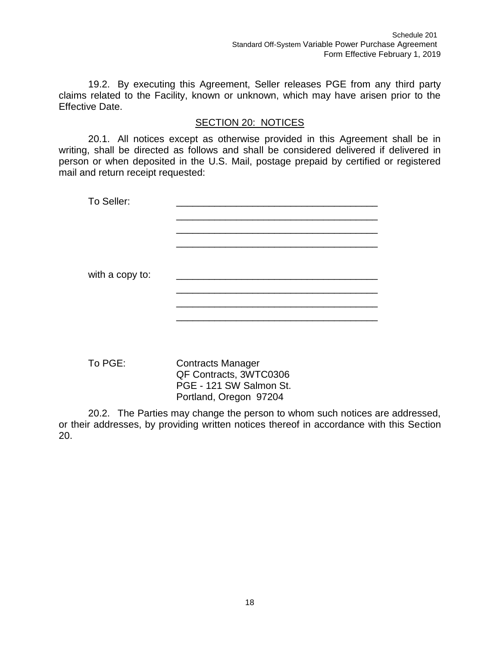19.2. By executing this Agreement, Seller releases PGE from any third party claims related to the Facility, known or unknown, which may have arisen prior to the Effective Date.

# SECTION 20: NOTICES

20.1. All notices except as otherwise provided in this Agreement shall be in writing, shall be directed as follows and shall be considered delivered if delivered in person or when deposited in the U.S. Mail, postage prepaid by certified or registered mail and return receipt requested:

| To Seller:      |  |
|-----------------|--|
|                 |  |
|                 |  |
|                 |  |
|                 |  |
| with a copy to: |  |
|                 |  |
|                 |  |
|                 |  |
|                 |  |

To PGE: Contracts Manager QF Contracts, 3WTC0306 PGE - 121 SW Salmon St. Portland, Oregon 97204

20.2. The Parties may change the person to whom such notices are addressed, or their addresses, by providing written notices thereof in accordance with this Section 20.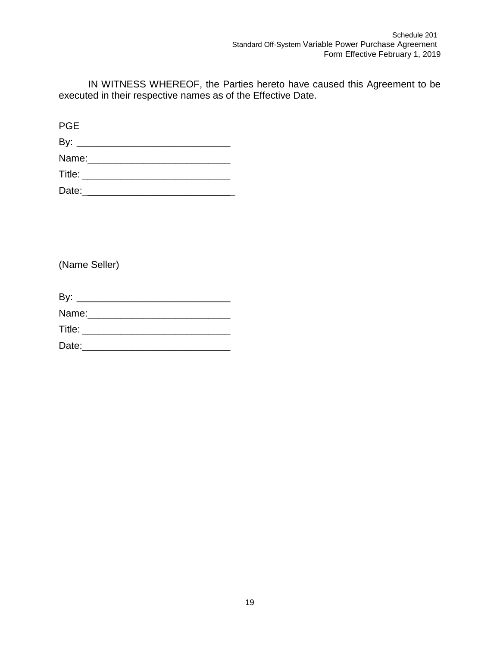IN WITNESS WHEREOF, the Parties hereto have caused this Agreement to be executed in their respective names as of the Effective Date.

PGE

| By:    |  |  |
|--------|--|--|
| Name:  |  |  |
| Title: |  |  |
| Date:  |  |  |

(Name Seller)

| Name:  |  |  |
|--------|--|--|
| Title: |  |  |
| Date:  |  |  |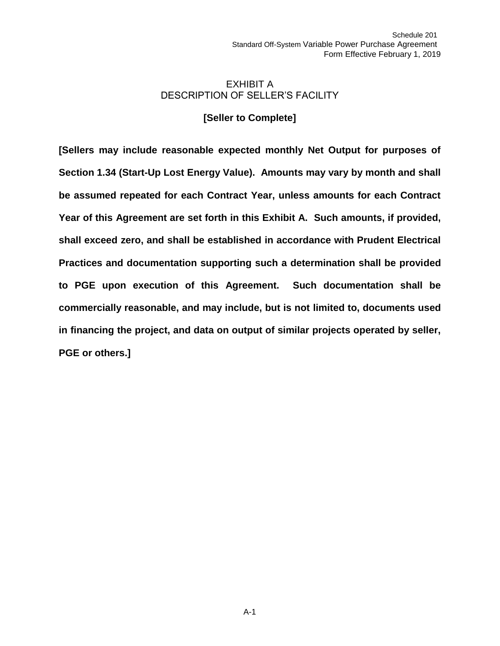### EXHIBIT A DESCRIPTION OF SELLER'S FACILITY

# **[Seller to Complete]**

**[Sellers may include reasonable expected monthly Net Output for purposes of Section 1.34 (Start-Up Lost Energy Value). Amounts may vary by month and shall be assumed repeated for each Contract Year, unless amounts for each Contract Year of this Agreement are set forth in this Exhibit A. Such amounts, if provided, shall exceed zero, and shall be established in accordance with Prudent Electrical Practices and documentation supporting such a determination shall be provided to PGE upon execution of this Agreement. Such documentation shall be commercially reasonable, and may include, but is not limited to, documents used in financing the project, and data on output of similar projects operated by seller, PGE or others.]**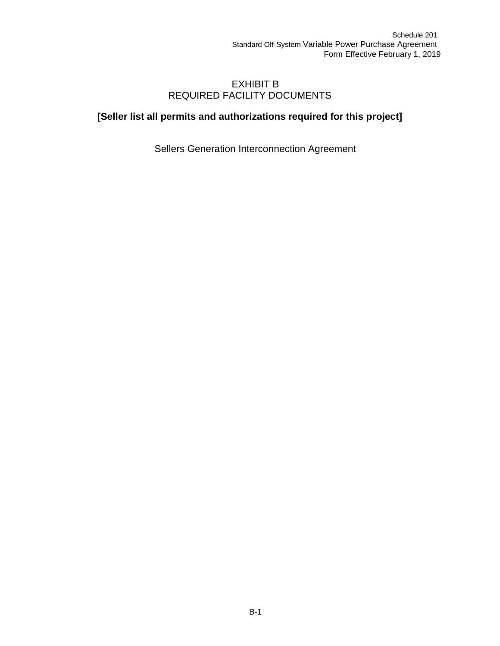# EXHIBIT B REQUIRED FACILITY DOCUMENTS

# **[Seller list all permits and authorizations required for this project]**

Sellers Generation Interconnection Agreement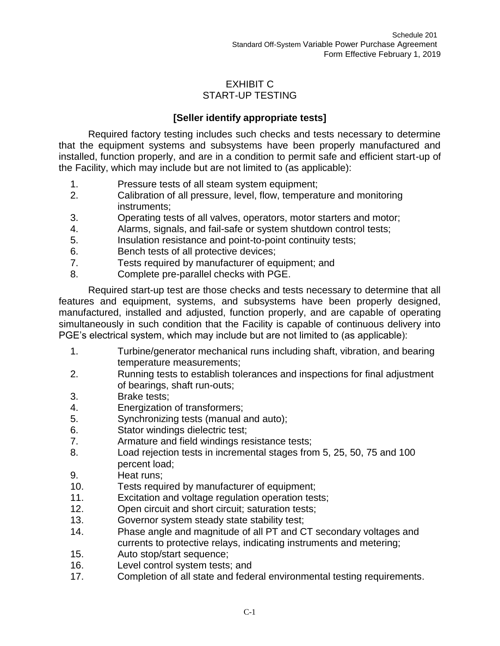# EXHIBIT C START-UP TESTING

# **[Seller identify appropriate tests]**

Required factory testing includes such checks and tests necessary to determine that the equipment systems and subsystems have been properly manufactured and installed, function properly, and are in a condition to permit safe and efficient start-up of the Facility, which may include but are not limited to (as applicable):

- 1. Pressure tests of all steam system equipment;
- 2. Calibration of all pressure, level, flow, temperature and monitoring instruments;
- 3. Operating tests of all valves, operators, motor starters and motor;
- 4. Alarms, signals, and fail-safe or system shutdown control tests;
- 5. Insulation resistance and point-to-point continuity tests;
- 6. Bench tests of all protective devices;
- 7. Tests required by manufacturer of equipment; and
- 8. Complete pre-parallel checks with PGE.

Required start-up test are those checks and tests necessary to determine that all features and equipment, systems, and subsystems have been properly designed, manufactured, installed and adjusted, function properly, and are capable of operating simultaneously in such condition that the Facility is capable of continuous delivery into PGE's electrical system, which may include but are not limited to (as applicable):

- 1. Turbine/generator mechanical runs including shaft, vibration, and bearing temperature measurements;
- 2. Running tests to establish tolerances and inspections for final adjustment of bearings, shaft run-outs;
- 3. Brake tests;
- 4. Energization of transformers;
- 5. Synchronizing tests (manual and auto);
- 6. Stator windings dielectric test;
- 7. Armature and field windings resistance tests;
- 8. Load rejection tests in incremental stages from 5, 25, 50, 75 and 100 percent load;
- 9. Heat runs;
- 10. Tests required by manufacturer of equipment;
- 11. Excitation and voltage regulation operation tests;
- 12. Open circuit and short circuit; saturation tests;
- 13. Governor system steady state stability test;
- 14. Phase angle and magnitude of all PT and CT secondary voltages and currents to protective relays, indicating instruments and metering;
- 15. Auto stop/start sequence;
- 16. Level control system tests; and
- 17. Completion of all state and federal environmental testing requirements.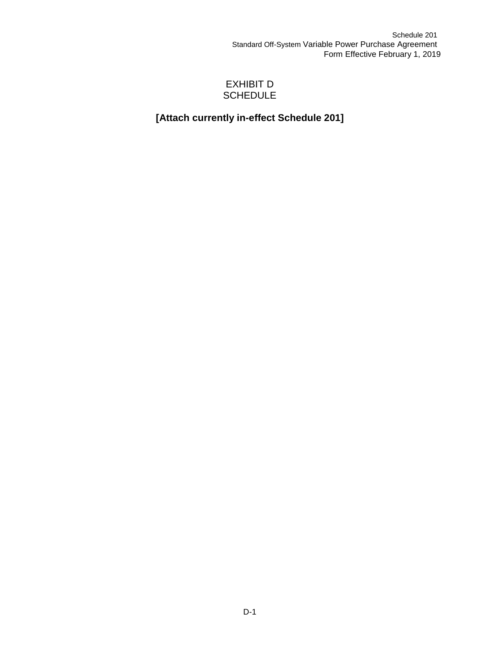# EXHIBIT D **SCHEDULE**

# **[Attach currently in-effect Schedule 201]**